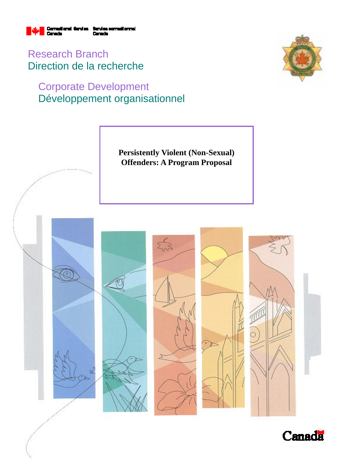

Research Branch Direction de la recherche

# Corporate Development Développement organisationnel





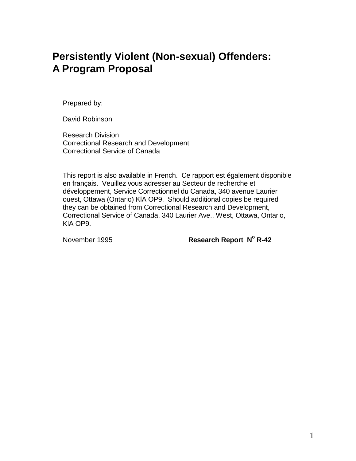# **Persistently Violent (Non-sexual) Offenders: A Program Proposal**

Prepared by:

David Robinson

Research Division Correctional Research and Development Correctional Service of Canada

This report is also available in French. Ce rapport est également disponible en français. Veuillez vous adresser au Secteur de recherche et développement, Service Correctionnel du Canada, 340 avenue Laurier ouest, Ottawa (Ontario) KlA OP9. Should additional copies be required they can be obtained from Correctional Research and Development, Correctional Service of Canada, 340 Laurier Ave., West, Ottawa, Ontario, KlA OP9.

November 1995 **Research Report N° R-42**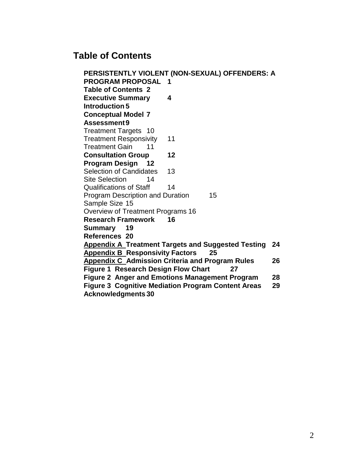## **Table of Contents**

**PERSISTENTLY VIOLENT (NON-SEXUAL) OFFENDERS: A PROGRAM PROPOSAL 1 Table of Contents 2 Executive Summary 4 Introduction 5 Conceptual Model 7 Assessment9** Treatment Targets 10 Treatment Responsivity 11 Treatment Gain 11 **Consultation Group 12 Program Design 12** Selection of Candidates 13 Site Selection 14 Qualifications of Staff 14 Program Description and Duration 15 Sample Size 15 Overview of Treatment Programs 16 **Research Framework 16 Summary 19 References 20 Appendix A Treatment Targets and Suggested Testing 24 Appendix B Responsivity Factors 25 Appendix C Admission Criteria and Program Rules 26 Figure 1 Research Design Flow Chart 27 Figure 2 Anger and Emotions Management Program 28 Figure 3 Cognitive Mediation Program Content Areas 29 Acknowledgments 30**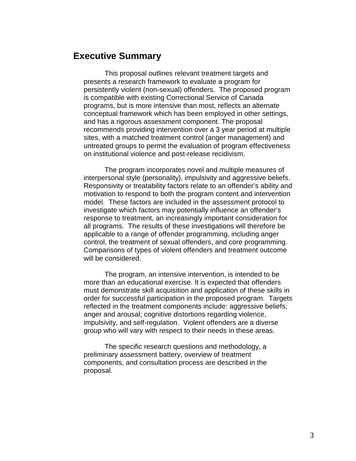### **Executive Summary**

This proposal outlines relevant treatment targets and presents a research framework to evaluate a program for persistently violent (non-sexual) offenders. The proposed program is compatible with existing Correctional Service of Canada programs, but is more intensive than most, reflects an alternate conceptual framework which has been employed in other settings, and has a rigorous assessment component. The proposal recommends providing intervention over a 3 year period at multiple sites, with a matched treatment control (anger management) and untreated groups to permit the evaluation of program effectiveness on institutional violence and post-release recidivism.

The program incorporates novel and multiple measures of interpersonal style (personality), impulsivity and aggressive beliefs. Responsivity or treatability factors relate to an offender's ability and motivation to respond to both the program content and intervention model. These factors are included in the assessment protocol to investigate which factors may potentially influence an offender's response to treatment, an increasingly important consideration for all programs. The results of these investigations will therefore be applicable to a range of offender programming, including anger control, the treatment of sexual offenders, and core programming. Comparisons of types of violent offenders and treatment outcome will be considered.

The program, an intensive intervention, is intended to be more than an educational exercise. It is expected that offenders must demonstrate skill acquisition and application of these skills in order for successful participation in the proposed program. Targets reflected in the treatment components include: aggressive beliefs; anger and arousal; cognitive distortions regarding violence, impulsivity, and self-regulation. Violent offenders are a diverse group who will vary with respect to their needs in these areas.

The specific research questions and methodology, a preliminary assessment battery, overview of treatment components, and consultation process are described in the proposal.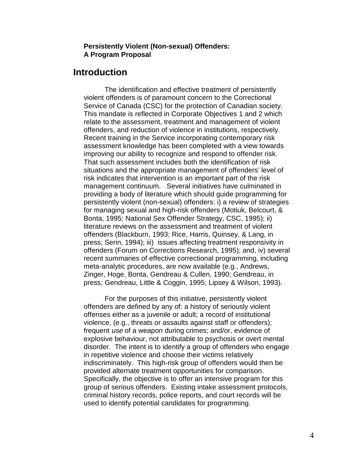#### **Persistently Violent (Non-sexual) Offenders: A Program Proposal**

## **Introduction**

The identification and effective treatment of persistently violent offenders is of paramount concern to the Correctional Service of Canada (CSC) for the protection of Canadian society. This mandate is reflected in Corporate Objectives 1 and 2 which relate to the assessment, treatment and management of violent offenders, and reduction of violence in institutions, respectively. Recent training in the Service incorporating contemporary risk assessment knowledge has been completed with a view towards improving our ability to recognize and respond to offender risk. That such assessment includes both the identification of risk situations and the appropriate management of offenders' level of risk indicates that intervention is an important part of the risk management continuum. Several initiatives have culminated in providing a body of literature which should guide programming for persistently violent (non-sexual) offenders: i) a review of strategies for managing sexual and high-risk offenders (Motiuk, Belcourt, & Bonta, 1995; National Sex Offender Strategy, CSC, 1995); ii) literature reviews on the assessment and treatment of violent offenders (Blackburn, 1993; Rice, Harris, Quinsey, & Lang, in press; Serin, 1994); iii) issues affecting treatment responsivity in offenders (Forum on Corrections Research, 1995); and, iv) several recent summaries of effective correctional programming, including meta-analytic procedures, are now available (e.g., Andrews, Zinger, Hoge, Bonta, Gendreau & Cullen, 1990; Gendreau, in press; Gendreau, Little & Coggin, 1995; Lipsey & Wilson, 1993).

For the purposes of this initiative, persistently violent offenders are defined by any of: a history of seriously violent offenses either as a juvenile or adult; a record of institutional violence, (e.g., threats or assaults against staff or offenders); frequent use of a weapon during crimes; and/or, evidence of explosive behaviour, not attributable to psychosis or overt mental disorder. The intent is to identify a group of offenders who engage in repetitive violence and choose their victims relatively indiscriminately. This high-risk group of offenders would then be provided alternate treatment opportunities for comparison. Specifically, the objective is to offer an intensive program for this group of serious offenders. Existing intake assessment protocols, criminal history records, police reports, and court records will be used to identify potential candidates for programming.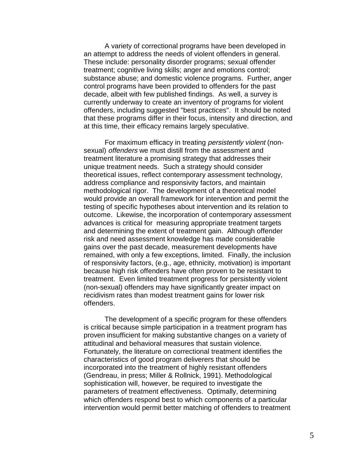A variety of correctional programs have been developed in an attempt to address the needs of violent offenders in general. These include: personality disorder programs; sexual offender treatment; cognitive living skills; anger and emotions control; substance abuse; and domestic violence programs. Further, anger control programs have been provided to offenders for the past decade, albeit with few published findings. As well, a survey is currently underway to create an inventory of programs for violent offenders, including suggested "best practices". It should be noted that these programs differ in their focus, intensity and direction, and at this time, their efficacy remains largely speculative.

For maximum efficacy in treating persistently violent (nonsexual) *offenders* we must distill from the assessment and treatment literature a promising strategy that addresses their unique treatment needs. Such a strategy should consider theoretical issues, reflect contemporary assessment technology, address compliance and responsivity factors, and maintain methodological rigor. The development of a theoretical model would provide an overall framework for intervention and permit the testing of specific hypotheses about intervention and its relation to outcome. Likewise, the incorporation of contemporary assessment advances is critical for measuring appropriate treatment targets and determining the extent of treatment gain. Although offender risk and need assessment knowledge has made considerable gains over the past decade, measurement developments have remained, with only a few exceptions, limited. Finally, the inclusion of responsivity factors, (e.g., age, ethnicity, motivation) is important because high risk offenders have often proven to be resistant to treatment. Even limited treatment progress for persistently violent (non-sexual) offenders may have significantly greater impact on recidivism rates than modest treatment gains for lower risk offenders.

The development of a specific program for these offenders is critical because simple participation in a treatment program has proven insufficient for making substantive changes on a variety of attitudinal and behavioral measures that sustain violence. Fortunately, the literature on correctional treatment identifies the characteristics of good program deliverers that should be incorporated into the treatment of highly resistant offenders (Gendreau, in press; Miller & Rollnick, 1991). Methodological sophistication will, however, be required to investigate the parameters of treatment effectiveness. Optimally, determining which offenders respond best to which components of a particular intervention would permit better matching of offenders to treatment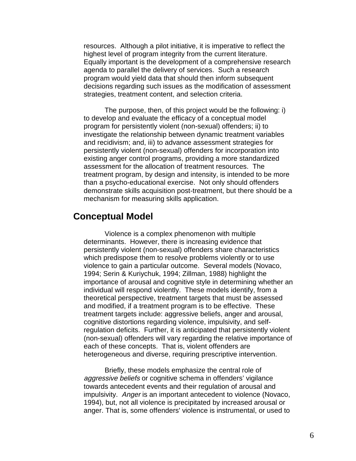resources. Although a pilot initiative, it is imperative to reflect the highest level of program integrity from the current literature. Equally important is the development of a comprehensive research agenda to parallel the delivery of services. Such a research program would yield data that should then inform subsequent decisions regarding such issues as the modification of assessment strategies, treatment content, and selection criteria.

The purpose, then, of this project would be the following: i) to develop and evaluate the efficacy of a conceptual model program for persistently violent (non-sexual) offenders; ii) to investigate the relationship between dynamic treatment variables and recidivism; and, iii) to advance assessment strategies for persistently violent (non-sexual) offenders for incorporation into existing anger control programs, providing a more standardized assessment for the allocation of treatment resources. The treatment program, by design and intensity, is intended to be more than a psycho-educational exercise. Not only should offenders demonstrate skills acquisition post-treatment, but there should be a mechanism for measuring skills application.

### **Conceptual Model**

Violence is a complex phenomenon with multiple determinants. However, there is increasing evidence that persistently violent (non-sexual) offenders share characteristics which predispose them to resolve problems violently or to use violence to gain a particular outcome. Several models (Novaco, 1994; Serin & Kuriychuk, 1994; Zillman, 1988) highlight the importance of arousal and cognitive style in determining whether an individual will respond violently. These models identify, from a theoretical perspective, treatment targets that must be assessed and modified, if a treatment program is to be effective. These treatment targets include: aggressive beliefs, anger and arousal, cognitive distortions regarding violence, impulsivity, and selfregulation deficits. Further, it is anticipated that persistently violent (non-sexual) offenders will vary regarding the relative importance of each of these concepts. That is, violent offenders are heterogeneous and diverse, requiring prescriptive intervention.

Briefly, these models emphasize the central role of aggressive beliefs or cognitive schema in offenders' vigilance towards antecedent events and their regulation of arousal and impulsivity. Anger is an important antecedent to violence (Novaco, 1994), but, not all violence is precipitated by increased arousal or anger. That is, some offenders' violence is instrumental, or used to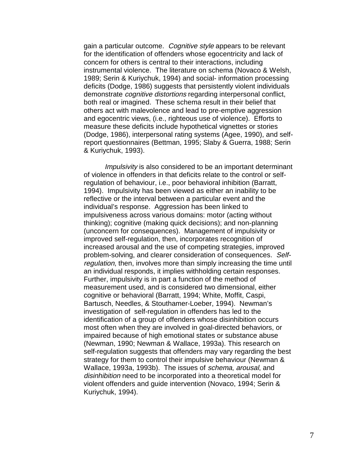gain a particular outcome. Cognitive style appears to be relevant for the identification of offenders whose egocentricity and lack of concern for others is central to their interactions, including instrumental violence. The literature on schema (Novaco & Welsh, 1989; Serin & Kuriychuk, 1994) and social- information processing deficits (Dodge, 1986) suggests that persistently violent individuals demonstrate *cognitive distortions* regarding interpersonal conflict, both real or imagined. These schema result in their belief that others act with malevolence and lead to pre-emptive aggression and egocentric views, (i.e., righteous use of violence). Efforts to measure these deficits include hypothetical vignettes or stories (Dodge, 1986), interpersonal rating systems (Agee, 1990), and selfreport questionnaires (Bettman, 1995; Slaby & Guerra, 1988; Serin & Kuriychuk, 1993).

Impulsivity is also considered to be an important determinant of violence in offenders in that deficits relate to the control or selfregulation of behaviour, i.e., poor behavioral inhibition (Barratt, 1994). Impulsivity has been viewed as either an inability to be reflective or the interval between a particular event and the individual's response. Aggression has been linked to impulsiveness across various domains: motor (acting without thinking); cognitive (making quick decisions); and non-planning (unconcern for consequences). Management of impulsivity or improved self-regulation, then, incorporates recognition of increased arousal and the use of competing strategies, improved problem-solving, and clearer consideration of consequences. Selfregulation, then, involves more than simply increasing the time until an individual responds, it implies withholding certain responses. Further, impulsivity is in part a function of the method of measurement used, and is considered two dimensional, either cognitive or behavioral (Barratt, 1994; White, Moffit, Caspi, Bartusch, Needles, & Stouthamer-Loeber, 1994). Newman's investigation of self-regulation in offenders has led to the identification of a group of offenders whose disinhibition occurs most often when they are involved in goal-directed behaviors, or impaired because of high emotional states or substance abuse (Newman, 1990; Newman & Wallace, 1993a). This research on self-regulation suggests that offenders may vary regarding the best strategy for them to control their impulsive behaviour (Newman & Wallace, 1993a, 1993b). The issues of schema, arousal, and disinhibition need to be incorporated into a theoretical model for violent offenders and guide intervention (Novaco, 1994; Serin & Kuriychuk, 1994).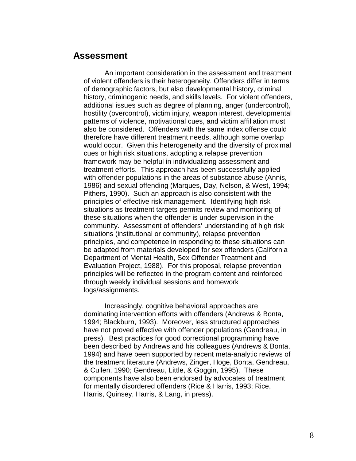### **Assessment**

An important consideration in the assessment and treatment of violent offenders is their heterogeneity. Offenders differ in terms of demographic factors, but also developmental history, criminal history, criminogenic needs, and skills levels. For violent offenders, additional issues such as degree of planning, anger (undercontrol), hostility (overcontrol), victim injury, weapon interest, developmental patterns of violence, motivational cues, and victim affiliation must also be considered. Offenders with the same index offense could therefore have different treatment needs, although some overlap would occur. Given this heterogeneity and the diversity of proximal cues or high risk situations, adopting a relapse prevention framework may be helpful in individualizing assessment and treatment efforts. This approach has been successfully applied with offender populations in the areas of substance abuse (Annis, 1986) and sexual offending (Marques, Day, Nelson, & West, 1994; Pithers, 1990). Such an approach is also consistent with the principles of effective risk management. Identifying high risk situations as treatment targets permits review and monitoring of these situations when the offender is under supervision in the community. Assessment of offenders' understanding of high risk situations (institutional or community), relapse prevention principles, and competence in responding to these situations can be adapted from materials developed for sex offenders (California Department of Mental Health, Sex Offender Treatment and Evaluation Project, 1988). For this proposal, relapse prevention principles will be reflected in the program content and reinforced through weekly individual sessions and homework logs/assignments.

Increasingly, cognitive behavioral approaches are dominating intervention efforts with offenders (Andrews & Bonta, 1994; Blackburn, 1993). Moreover, less structured approaches have not proved effective with offender populations (Gendreau, in press). Best practices for good correctional programming have been described by Andrews and his colleagues (Andrews & Bonta, 1994) and have been supported by recent meta-analytic reviews of the treatment literature (Andrews, Zinger, Hoge, Bonta, Gendreau, & Cullen, 1990; Gendreau, Little, & Goggin, 1995). These components have also been endorsed by advocates of treatment for mentally disordered offenders (Rice & Harris, 1993; Rice, Harris, Quinsey, Harris, & Lang, in press).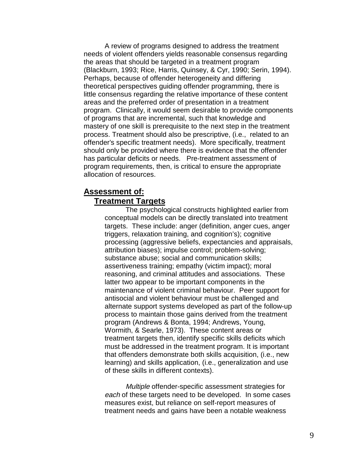A review of programs designed to address the treatment needs of violent offenders yields reasonable consensus regarding the areas that should be targeted in a treatment program (Blackburn, 1993; Rice, Harris, Quinsey, & Cyr, 1990; Serin, 1994). Perhaps, because of offender heterogeneity and differing theoretical perspectives guiding offender programming, there is little consensus regarding the relative importance of these content areas and the preferred order of presentation in a treatment program. Clinically, it would seem desirable to provide components of programs that are incremental, such that knowledge and mastery of one skill is prerequisite to the next step in the treatment process. Treatment should also be prescriptive, (i.e., related to an offender's specific treatment needs). More specifically, treatment should only be provided where there is evidence that the offender has particular deficits or needs. Pre-treatment assessment of program requirements, then, is critical to ensure the appropriate allocation of resources.

### **Assessment of: Treatment Targets**

The psychological constructs highlighted earlier from conceptual models can be directly translated into treatment targets. These include: anger (definition, anger cues, anger triggers, relaxation training, and cognition's); cognitive processing (aggressive beliefs, expectancies and appraisals, attribution biases); impulse control; problem-solving; substance abuse; social and communication skills; assertiveness training; empathy (victim impact); moral reasoning, and criminal attitudes and associations. These latter two appear to be important components in the maintenance of violent criminal behaviour. Peer support for antisocial and violent behaviour must be challenged and alternate support systems developed as part of the follow-up process to maintain those gains derived from the treatment program (Andrews & Bonta, 1994; Andrews, Young, Wormith, & Searle, 1973). These content areas or treatment targets then, identify specific skills deficits which must be addressed in the treatment program. It is important that offenders demonstrate both skills acquisition, (i.e., new learning) and skills application, (i.e., generalization and use of these skills in different contexts).

Multiple offender-specific assessment strategies for each of these targets need to be developed. In some cases measures exist, but reliance on self-report measures of treatment needs and gains have been a notable weakness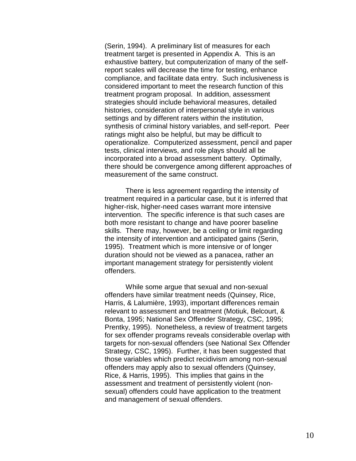(Serin, 1994). A preliminary list of measures for each treatment target is presented in Appendix A. This is an exhaustive battery, but computerization of many of the selfreport scales will decrease the time for testing, enhance compliance, and facilitate data entry. Such inclusiveness is considered important to meet the research function of this treatment program proposal. In addition, assessment strategies should include behavioral measures, detailed histories, consideration of interpersonal style in various settings and by different raters within the institution, synthesis of criminal history variables, and self-report. Peer ratings might also be helpful, but may be difficult to operationalize. Computerized assessment, pencil and paper tests, clinical interviews, and role plays should all be incorporated into a broad assessment battery. Optimally, there should be convergence among different approaches of measurement of the same construct.

There is less agreement regarding the intensity of treatment required in a particular case, but it is inferred that higher-risk, higher-need cases warrant more intensive intervention. The specific inference is that such cases are both more resistant to change and have poorer baseline skills. There may, however, be a ceiling or limit regarding the intensity of intervention and anticipated gains (Serin, 1995). Treatment which is more intensive or of longer duration should not be viewed as a panacea, rather an important management strategy for persistently violent offenders.

While some argue that sexual and non-sexual offenders have similar treatment needs (Quinsey, Rice, Harris, & Lalumière, 1993), important differences remain relevant to assessment and treatment (Motiuk, Belcourt, & Bonta, 1995; National Sex Offender Strategy, CSC, 1995; Prentky, 1995). Nonetheless, a review of treatment targets for sex offender programs reveals considerable overlap with targets for non-sexual offenders (see National Sex Offender Strategy, CSC, 1995). Further, it has been suggested that those variables which predict recidivism among non-sexual offenders may apply also to sexual offenders (Quinsey, Rice, & Harris, 1995). This implies that gains in the assessment and treatment of persistently violent (nonsexual) offenders could have application to the treatment and management of sexual offenders.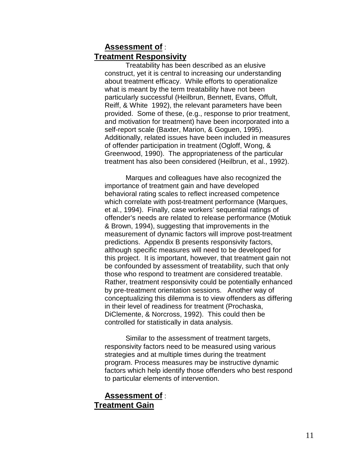## **Assessment of** : **Treatment Responsivity**

Treatability has been described as an elusive construct, yet it is central to increasing our understanding about treatment efficacy. While efforts to operationalize what is meant by the term treatability have not been particularly successful (Heilbrun, Bennett, Evans, Offult, Reiff, & White 1992), the relevant parameters have been provided. Some of these, (e.g., response to prior treatment, and motivation for treatment) have been incorporated into a self-report scale (Baxter, Marion, & Goguen, 1995). Additionally, related issues have been included in measures of offender participation in treatment (Ogloff, Wong, & Greenwood, 1990). The appropriateness of the particular treatment has also been considered (Heilbrun, et al., 1992).

Marques and colleagues have also recognized the importance of treatment gain and have developed behavioral rating scales to reflect increased competence which correlate with post-treatment performance (Marques, et al., 1994). Finally, case workers' sequential ratings of offender's needs are related to release performance (Motiuk & Brown, 1994), suggesting that improvements in the measurement of dynamic factors will improve post-treatment predictions. Appendix B presents responsivity factors, although specific measures will need to be developed for this project. It is important, however, that treatment gain not be confounded by assessment of treatability, such that only those who respond to treatment are considered treatable. Rather, treatment responsivity could be potentially enhanced by pre-treatment orientation sessions. Another way of conceptualizing this dilemma is to view offenders as differing in their level of readiness for treatment (Prochaska, DiClemente, & Norcross, 1992). This could then be controlled for statistically in data analysis.

Similar to the assessment of treatment targets, responsivity factors need to be measured using various strategies and at multiple times during the treatment program. Process measures may be instructive dynamic factors which help identify those offenders who best respond to particular elements of intervention.

#### **Assessment of** : **Treatment Gain**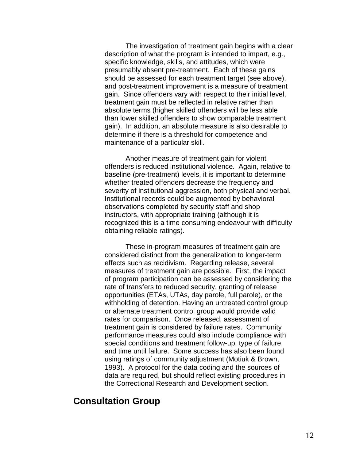The investigation of treatment gain begins with a clear description of what the program is intended to impart, e.g., specific knowledge, skills, and attitudes, which were presumably absent pre-treatment. Each of these gains should be assessed for each treatment target (see above), and post-treatment improvement is a measure of treatment gain. Since offenders vary with respect to their initial level, treatment gain must be reflected in relative rather than absolute terms (higher skilled offenders will be less able than lower skilled offenders to show comparable treatment gain). In addition, an absolute measure is also desirable to determine if there is a threshold for competence and maintenance of a particular skill.

Another measure of treatment gain for violent offenders is reduced institutional violence. Again, relative to baseline (pre-treatment) levels, it is important to determine whether treated offenders decrease the frequency and severity of institutional aggression, both physical and verbal. Institutional records could be augmented by behavioral observations completed by security staff and shop instructors, with appropriate training (although it is recognized this is a time consuming endeavour with difficulty obtaining reliable ratings).

These in-program measures of treatment gain are considered distinct from the generalization to longer-term effects such as recidivism. Regarding release, several measures of treatment gain are possible. First, the impact of program participation can be assessed by considering the rate of transfers to reduced security, granting of release opportunities (ETAs, UTAs, day parole, full parole), or the withholding of detention. Having an untreated control group or alternate treatment control group would provide valid rates for comparison. Once released, assessment of treatment gain is considered by failure rates. Community performance measures could also include compliance with special conditions and treatment follow-up, type of failure, and time until failure. Some success has also been found using ratings of community adjustment (Motiuk & Brown, 1993). A protocol for the data coding and the sources of data are required, but should reflect existing procedures in the Correctional Research and Development section.

## **Consultation Group**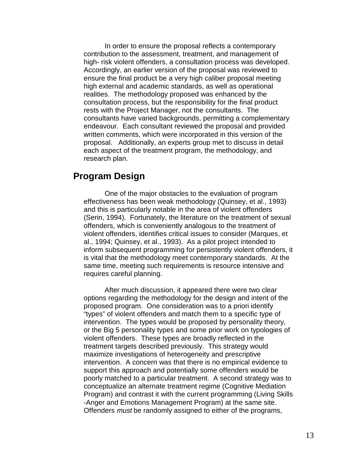In order to ensure the proposal reflects a contemporary contribution to the assessment, treatment, and management of high- risk violent offenders, a consultation process was developed. Accordingly, an earlier version of the proposal was reviewed to ensure the final product be a very high caliber proposal meeting high external and academic standards, as well as operational realities. The methodology proposed was enhanced by the consultation process, but the responsibility for the final product rests with the Project Manager, not the consultants. The consultants have varied backgrounds, permitting a complementary endeavour. Each consultant reviewed the proposal and provided written comments, which were incorporated in this version of the proposal. Additionally, an experts group met to discuss in detail each aspect of the treatment program, the methodology, and research plan.

## **Program Design**

One of the major obstacles to the evaluation of program effectiveness has been weak methodology (Quinsey, et al., 1993) and this is particularly notable in the area of violent offenders (Serin, 1994). Fortunately, the literature on the treatment of sexual offenders, which is conveniently analogous to the treatment of violent offenders, identifies critical issues to consider (Marques, et al., 1994; Quinsey, et al., 1993). As a pilot project intended to inform subsequent programming for persistently violent offenders, it is vital that the methodology meet contemporary standards. At the same time, meeting such requirements is resource intensive and requires careful planning.

After much discussion, it appeared there were two clear options regarding the methodology for the design and intent of the proposed program. One consideration was to a priori identify "types" of violent offenders and match them to a specific type of intervention. The types would be proposed by personality theory, or the Big 5 personality types and some prior work on typologies of violent offenders. These types are broadly reflected in the treatment targets described previously. This strategy would maximize investigations of heterogeneity and prescriptive intervention. A concern was that there is no empirical evidence to support this approach and potentially some offenders would be poorly matched to a particular treatment. A second strategy was to conceptualize an alternate treatment regime (Cognitive Mediation Program) and contrast it with the current programming (Living Skills -Anger and Emotions Management Program) at the same site. Offenders must be randomly assigned to either of the programs,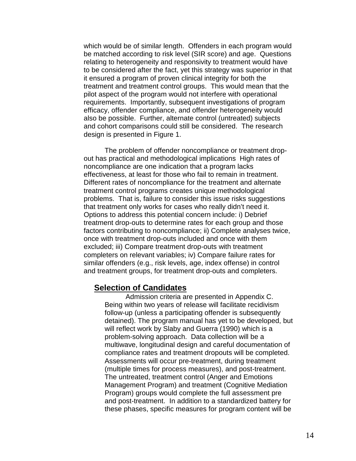which would be of similar length. Offenders in each program would be matched according to risk level (SIR score) and age. Questions relating to heterogeneity and responsivity to treatment would have to be considered after the fact, yet this strategy was superior in that it ensured a program of proven clinical integrity for both the treatment and treatment control groups. This would mean that the pilot aspect of the program would not interfere with operational requirements. Importantly, subsequent investigations of program efficacy, offender compliance, and offender heterogeneity would also be possible. Further, alternate control (untreated) subjects and cohort comparisons could still be considered. The research design is presented in Figure 1.

The problem of offender noncompliance or treatment dropout has practical and methodological implications High rates of noncompliance are one indication that a program lacks effectiveness, at least for those who fail to remain in treatment. Different rates of noncompliance for the treatment and alternate treatment control programs creates unique methodological problems. That is, failure to consider this issue risks suggestions that treatment only works for cases who really didn't need it. Options to address this potential concern include: i) Debrief treatment drop-outs to determine rates for each group and those factors contributing to noncompliance; ii) Complete analyses twice, once with treatment drop-outs included and once with them excluded; iii) Compare treatment drop-outs with treatment completers on relevant variables; iv) Compare failure rates for similar offenders (e.g., risk levels, age, index offense) in control and treatment groups, for treatment drop-outs and completers.

#### **Selection of Candidates**

Admission criteria are presented in Appendix C. Being within two years of release will facilitate recidivism follow-up (unless a participating offender is subsequently detained). The program manual has yet to be developed, but will reflect work by Slaby and Guerra (1990) which is a problem-solving approach. Data collection will be a multiwave, longitudinal design and careful documentation of compliance rates and treatment dropouts will be completed. Assessments will occur pre-treatment, during treatment (multiple times for process measures), and post-treatment. The untreated, treatment control (Anger and Emotions Management Program) and treatment (Cognitive Mediation Program) groups would complete the full assessment pre and post-treatment. In addition to a standardized battery for these phases, specific measures for program content will be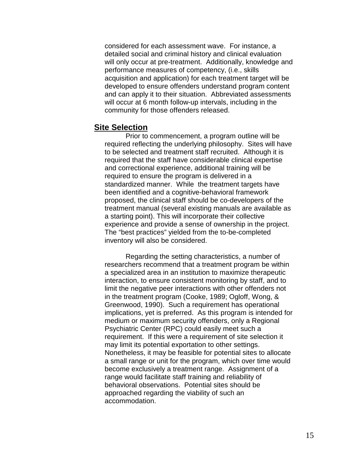considered for each assessment wave. For instance, a detailed social and criminal history and clinical evaluation will only occur at pre-treatment. Additionally, knowledge and performance measures of competency, (i.e., skills acquisition and application) for each treatment target will be developed to ensure offenders understand program content and can apply it to their situation. Abbreviated assessments will occur at 6 month follow-up intervals, including in the community for those offenders released.

#### **Site Selection**

Prior to commencement, a program outline will be required reflecting the underlying philosophy. Sites will have to be selected and treatment staff recruited. Although it is required that the staff have considerable clinical expertise and correctional experience, additional training will be required to ensure the program is delivered in a standardized manner. While the treatment targets have been identified and a cognitive-behavioral framework proposed, the clinical staff should be co-developers of the treatment manual (several existing manuals are available as a starting point). This will incorporate their collective experience and provide a sense of ownership in the project. The "best practices" yielded from the to-be-completed inventory will also be considered.

Regarding the setting characteristics, a number of researchers recommend that a treatment program be within a specialized area in an institution to maximize therapeutic interaction, to ensure consistent monitoring by staff, and to limit the negative peer interactions with other offenders not in the treatment program (Cooke, 1989; Ogloff, Wong, & Greenwood, 1990). Such a requirement has operational implications, yet is preferred. As this program is intended for medium or maximum security offenders, only a Regional Psychiatric Center (RPC) could easily meet such a requirement. If this were a requirement of site selection it may limit its potential exportation to other settings. Nonetheless, it may be feasible for potential sites to allocate a small range or unit for the program, which over time would become exclusively a treatment range. Assignment of a range would facilitate staff training and reliability of behavioral observations. Potential sites should be approached regarding the viability of such an accommodation.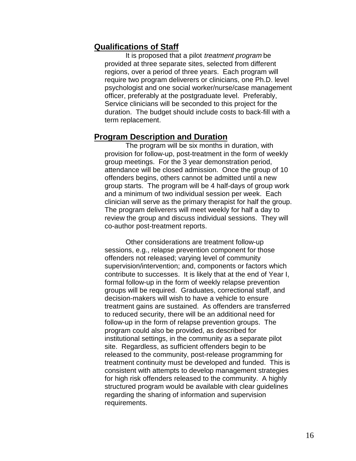### **Qualifications of Staff**

It is proposed that a pilot *treatment program* be provided at three separate sites, selected from different regions, over a period of three years. Each program will require two program deliverers or clinicians, one Ph.D. level psychologist and one social worker/nurse/case management officer, preferably at the postgraduate level. Preferably, Service clinicians will be seconded to this project for the duration. The budget should include costs to back-fill with a term replacement.

#### **Program Description and Duration**

The program will be six months in duration, with provision for follow-up, post-treatment in the form of weekly group meetings. For the 3 year demonstration period, attendance will be closed admission. Once the group of 10 offenders begins, others cannot be admitted until a new group starts. The program will be 4 half-days of group work and a minimum of two individual session per week. Each clinician will serve as the primary therapist for half the group. The program deliverers will meet weekly for half a day to review the group and discuss individual sessions. They will co-author post-treatment reports.

Other considerations are treatment follow-up sessions, e.g., relapse prevention component for those offenders not released; varying level of community supervision/intervention; and, components or factors which contribute to successes. It is likely that at the end of Year I, formal follow-up in the form of weekly relapse prevention groups will be required. Graduates, correctional staff, and decision-makers will wish to have a vehicle to ensure treatment gains are sustained. As offenders are transferred to reduced security, there will be an additional need for follow-up in the form of relapse prevention groups. The program could also be provided, as described for institutional settings, in the community as a separate pilot site. Regardless, as sufficient offenders begin to be released to the community, post-release programming for treatment continuity must be developed and funded. This is consistent with attempts to develop management strategies for high risk offenders released to the community. A highly structured program would be available with clear guidelines regarding the sharing of information and supervision requirements.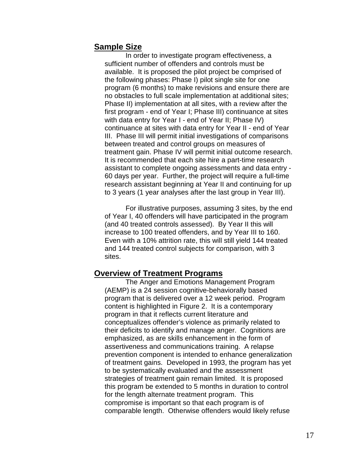### **Sample Size**

In order to investigate program effectiveness, a sufficient number of offenders and controls must be available. It is proposed the pilot project be comprised of the following phases: Phase I) pilot single site for one program (6 months) to make revisions and ensure there are no obstacles to full scale implementation at additional sites; Phase II) implementation at all sites, with a review after the first program - end of Year I; Phase III) continuance at sites with data entry for Year I - end of Year II; Phase IV) continuance at sites with data entry for Year II - end of Year III. Phase III will permit initial investigations of comparisons between treated and control groups on measures of treatment gain. Phase IV will permit initial outcome research. It is recommended that each site hire a part-time research assistant to complete ongoing assessments and data entry - 60 days per year. Further, the project will require a full-time research assistant beginning at Year II and continuing for up to 3 years (1 year analyses after the last group in Year III).

For illustrative purposes, assuming 3 sites, by the end of Year I, 40 offenders will have participated in the program (and 40 treated controls assessed). By Year II this will increase to 100 treated offenders, and by Year III to 160. Even with a 10% attrition rate, this will still yield 144 treated and 144 treated control subjects for comparison, with 3 sites.

#### **Overview of Treatment Programs**

 The Anger and Emotions Management Program (AEMP) is a 24 session cognitive-behaviorally based program that is delivered over a 12 week period. Program content is highlighted in Figure 2. It is a contemporary program in that it reflects current literature and conceptualizes offender's violence as primarily related to their deficits to identify and manage anger. Cognitions are emphasized, as are skills enhancement in the form of assertiveness and communications training. A relapse prevention component is intended to enhance generalization of treatment gains. Developed in 1993, the program has yet to be systematically evaluated and the assessment strategies of treatment gain remain limited. It is proposed this program be extended to 5 months in duration to control for the length alternate treatment program. This compromise is important so that each program is of comparable length. Otherwise offenders would likely refuse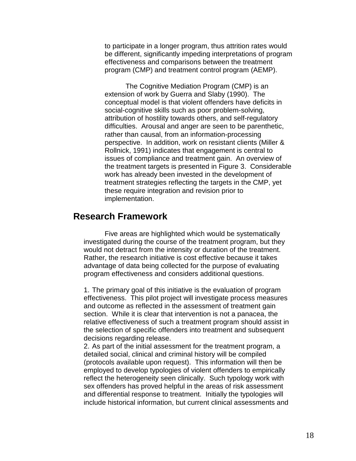to participate in a longer program, thus attrition rates would be different, significantly impeding interpretations of program effectiveness and comparisons between the treatment program (CMP) and treatment control program (AEMP).

The Cognitive Mediation Program (CMP) is an extension of work by Guerra and Slaby (1990). The conceptual model is that violent offenders have deficits in social-cognitive skills such as poor problem-solving, attribution of hostility towards others, and self-regulatory difficulties. Arousal and anger are seen to be parenthetic, rather than causal, from an information-processing perspective. In addition, work on resistant clients (Miller & Rollnick, 1991) indicates that engagement is central to issues of compliance and treatment gain. An overview of the treatment targets is presented in Figure 3. Considerable work has already been invested in the development of treatment strategies reflecting the targets in the CMP, yet these require integration and revision prior to implementation.

### **Research Framework**

Five areas are highlighted which would be systematically investigated during the course of the treatment program, but they would not detract from the intensity or duration of the treatment. Rather, the research initiative is cost effective because it takes advantage of data being collected for the purpose of evaluating program effectiveness and considers additional questions.

1. The primary goal of this initiative is the evaluation of program effectiveness. This pilot project will investigate process measures and outcome as reflected in the assessment of treatment gain section. While it is clear that intervention is not a panacea, the relative effectiveness of such a treatment program should assist in the selection of specific offenders into treatment and subsequent decisions regarding release.

2. As part of the initial assessment for the treatment program, a detailed social, clinical and criminal history will be compiled (protocols available upon request). This information will then be employed to develop typologies of violent offenders to empirically reflect the heterogeneity seen clinically. Such typology work with sex offenders has proved helpful in the areas of risk assessment and differential response to treatment. Initially the typologies will include historical information, but current clinical assessments and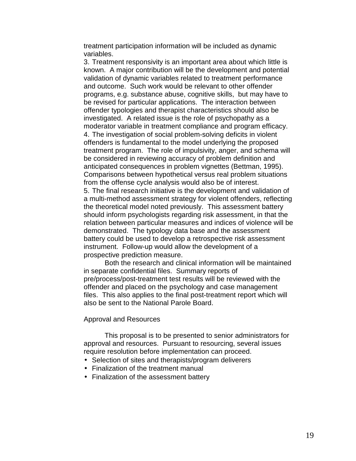treatment participation information will be included as dynamic variables.

3. Treatment responsivity is an important area about which little is known. A major contribution will be the development and potential validation of dynamic variables related to treatment performance and outcome. Such work would be relevant to other offender programs, e.g. substance abuse, cognitive skills, but may have to be revised for particular applications. The interaction between offender typologies and therapist characteristics should also be investigated. A related issue is the role of psychopathy as a moderator variable in treatment compliance and program efficacy. 4. The investigation of social problem-solving deficits in violent offenders is fundamental to the model underlying the proposed treatment program. The role of impulsivity, anger, and schema will be considered in reviewing accuracy of problem definition and anticipated consequences in problem vignettes (Bettman, 1995). Comparisons between hypothetical versus real problem situations from the offense cycle analysis would also be of interest.

5. The final research initiative is the development and validation of a multi-method assessment strategy for violent offenders, reflecting the theoretical model noted previously. This assessment battery should inform psychologists regarding risk assessment, in that the relation between particular measures and indices of violence will be demonstrated. The typology data base and the assessment battery could be used to develop a retrospective risk assessment instrument. Follow-up would allow the development of a prospective prediction measure.

Both the research and clinical information will be maintained in separate confidential files. Summary reports of pre/process/post-treatment test results will be reviewed with the offender and placed on the psychology and case management files. This also applies to the final post-treatment report which will also be sent to the National Parole Board.

#### Approval and Resources

This proposal is to be presented to senior administrators for approval and resources. Pursuant to resourcing, several issues require resolution before implementation can proceed.

- Selection of sites and therapists/program deliverers
- Finalization of the treatment manual
- Finalization of the assessment battery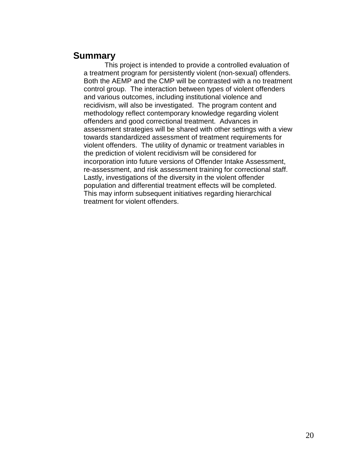## **Summary**

This project is intended to provide a controlled evaluation of a treatment program for persistently violent (non-sexual) offenders. Both the AEMP and the CMP will be contrasted with a no treatment control group. The interaction between types of violent offenders and various outcomes, including institutional violence and recidivism, will also be investigated. The program content and methodology reflect contemporary knowledge regarding violent offenders and good correctional treatment. Advances in assessment strategies will be shared with other settings with a view towards standardized assessment of treatment requirements for violent offenders. The utility of dynamic or treatment variables in the prediction of violent recidivism will be considered for incorporation into future versions of Offender Intake Assessment, re-assessment, and risk assessment training for correctional staff. Lastly, investigations of the diversity in the violent offender population and differential treatment effects will be completed. This may inform subsequent initiatives regarding hierarchical treatment for violent offenders.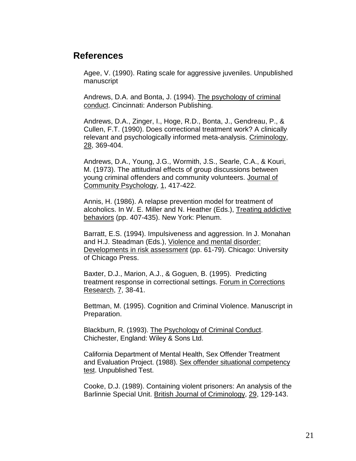## **References**

Agee, V. (1990). Rating scale for aggressive juveniles. Unpublished manuscript

Andrews, D.A. and Bonta, J. (1994). The psychology of criminal conduct. Cincinnati: Anderson Publishing.

Andrews, D.A., Zinger, I., Hoge, R.D., Bonta, J., Gendreau, P., & Cullen, F.T. (1990). Does correctional treatment work? A clinically relevant and psychologically informed meta-analysis. Criminology, 28, 369-404.

Andrews, D.A., Young, J.G., Wormith, J.S., Searle, C.A., & Kouri, M. (1973). The attitudinal effects of group discussions between young criminal offenders and community volunteers. Journal of Community Psychology, 1, 417-422.

Annis, H. (1986). A relapse prevention model for treatment of alcoholics. In W. E. Miller and N. Heather (Eds.), Treating addictive behaviors (pp. 407-435). New York: Plenum.

Barratt, E.S. (1994). Impulsiveness and aggression. In J. Monahan and H.J. Steadman (Eds.), Violence and mental disorder: Developments in risk assessment (pp. 61-79). Chicago: University of Chicago Press.

Baxter, D.J., Marion, A.J., & Goguen, B. (1995). Predicting treatment response in correctional settings. Forum in Corrections Research, 7, 38-41.

Bettman, M. (1995). Cognition and Criminal Violence. Manuscript in Preparation.

Blackburn, R. (1993). The Psychology of Criminal Conduct. Chichester, England: Wiley & Sons Ltd.

California Department of Mental Health, Sex Offender Treatment and Evaluation Project. (1988). Sex offender situational competency test. Unpublished Test.

Cooke, D.J. (1989). Containing violent prisoners: An analysis of the Barlinnie Special Unit. British Journal of Criminology, 29, 129-143.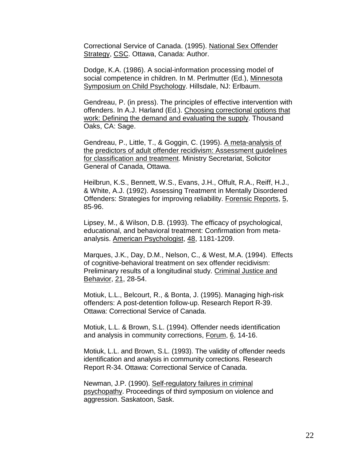Correctional Service of Canada. (1995). National Sex Offender Strategy, CSC. Ottawa, Canada: Author.

Dodge, K.A. (1986). A social-information processing model of social competence in children. In M. Perlmutter (Ed.), Minnesota Symposium on Child Psychology. Hillsdale, NJ: Erlbaum.

Gendreau, P. (in press). The principles of effective intervention with offenders. In A.J. Harland (Ed.). Choosing correctional options that work: Defining the demand and evaluating the supply. Thousand Oaks, CA: Sage.

Gendreau, P., Little, T., & Goggin, C. (1995). A meta-analysis of the predictors of adult offender recidivism: Assessment guidelines for classification and treatment. Ministry Secretariat, Solicitor General of Canada, Ottawa.

Heilbrun, K.S., Bennett, W.S., Evans, J.H., Offult, R.A., Reiff, H.J., & White, A.J. (1992). Assessing Treatment in Mentally Disordered Offenders: Strategies for improving reliability. Forensic Reports, 5, 85-96.

Lipsey, M., & Wilson, D.B. (1993). The efficacy of psychological, educational, and behavioral treatment: Confirmation from metaanalysis. American Psychologist, 48, 1181-1209.

Marques, J.K., Day, D.M., Nelson, C., & West, M.A. (1994). Effects of cognitive-behavioral treatment on sex offender recidivism: Preliminary results of a longitudinal study. Criminal Justice and Behavior, 21, 28-54.

Motiuk, L.L., Belcourt, R., & Bonta, J. (1995). Managing high-risk offenders: A post-detention follow-up. Research Report R-39. Ottawa: Correctional Service of Canada.

Motiuk, L.L. & Brown, S.L. (1994). Offender needs identification and analysis in community corrections, Forum, 6, 14-16.

Motiuk, L.L. and Brown, S.L. (1993). The validity of offender needs identification and analysis in community corrections. Research Report R-34. Ottawa: Correctional Service of Canada.

Newman, J.P. (1990). Self-regulatory failures in criminal psychopathy. Proceedings of third symposium on violence and aggression. Saskatoon, Sask.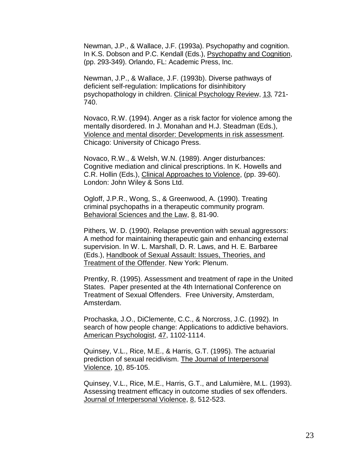Newman, J.P., & Wallace, J.F. (1993a). Psychopathy and cognition. In K.S. Dobson and P.C. Kendall (Eds.), Psychopathy and Cognition, (pp. 293-349). Orlando, FL: Academic Press, Inc.

Newman, J.P., & Wallace, J.F. (1993b). Diverse pathways of deficient self-regulation: Implications for disinhibitory psychopathology in children. Clinical Psychology Review, 13, 721- 740.

Novaco, R.W. (1994). Anger as a risk factor for violence among the mentally disordered. In J. Monahan and H.J. Steadman (Eds.), Violence and mental disorder: Developments in risk assessment. Chicago: University of Chicago Press.

Novaco, R.W., & Welsh, W.N. (1989). Anger disturbances: Cognitive mediation and clinical prescriptions. In K. Howells and C.R. Hollin (Eds.), Clinical Approaches to Violence, (pp. 39-60). London: John Wiley & Sons Ltd.

Ogloff, J.P.R., Wong, S., & Greenwood, A. (1990). Treating criminal psychopaths in a therapeutic community program. Behavioral Sciences and the Law, 8, 81-90.

Pithers, W. D. (1990). Relapse prevention with sexual aggressors: A method for maintaining therapeutic gain and enhancing external supervision. In W. L. Marshall, D. R. Laws, and H. E. Barbaree (Eds.), Handbook of Sexual Assault: Issues, Theories, and Treatment of the Offender. New York: Plenum.

Prentky, R. (1995). Assessment and treatment of rape in the United States. Paper presented at the 4th International Conference on Treatment of Sexual Offenders. Free University, Amsterdam, Amsterdam.

Prochaska, J.O., DiClemente, C.C., & Norcross, J.C. (1992). In search of how people change: Applications to addictive behaviors. American Psychologist, 47, 1102-1114.

Quinsey, V.L., Rice, M.E., & Harris, G.T. (1995). The actuarial prediction of sexual recidivism. The Journal of Interpersonal Violence, 10, 85-105.

Quinsey, V.L., Rice, M.E., Harris, G.T., and Lalumière, M.L. (1993). Assessing treatment efficacy in outcome studies of sex offenders. Journal of Interpersonal Violence, 8, 512-523.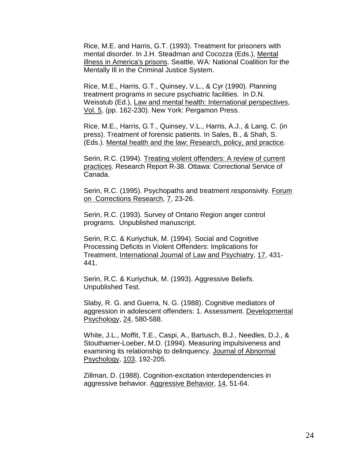Rice, M.E. and Harris, G.T. (1993). Treatment for prisoners with mental disorder. In J.H. Steadman and Cocozza (Eds.), Mental illness in America's prisons. Seattle, WA: National Coalition for the Mentally Ill in the Criminal Justice System.

Rice, M.E., Harris, G.T., Quinsey, V.L., & Cyr (1990). Planning treatment programs in secure psychiatric facilities. In D.N. Weisstub (Ed.), Law and mental health: International perspectives, Vol. 5, (pp. 162-230). New York: Pergamon Press.

Rice, M.E., Harris, G.T., Quinsey, V.L., Harris, A.J., & Lang. C. (in press). Treatment of forensic patients. In Sales, B., & Shah, S. (Eds.). Mental health and the law: Research, policy, and practice.

Serin, R.C. (1994). Treating violent offenders: A review of current practices. Research Report R-38. Ottawa: Correctional Service of Canada.

Serin, R.C. (1995). Psychopaths and treatment responsivity. Forum on Corrections Research, 7, 23-26.

Serin, R.C. (1993). Survey of Ontario Region anger control programs. Unpublished manuscript.

Serin, R.C. & Kuriychuk, M. (1994). Social and Cognitive Processing Deficits in Violent Offenders: Implications for Treatment, International Journal of Law and Psychiatry, 17, 431- 441.

Serin, R.C. & Kuriychuk, M. (1993). Aggressive Beliefs. Unpublished Test.

Slaby, R. G. and Guerra, N. G. (1988). Cognitive mediators of aggression in adolescent offenders: 1. Assessment. Developmental Psychology, 24, 580-588.

White, J.L., Moffit, T.E., Caspi, A., Bartusch, B.J., Needles, D.J., & Stouthamer-Loeber, M.D. (1994). Measuring impulsiveness and examining its relationship to delinquency. Journal of Abnormal Psychology, 103, 192-205.

Zillman, D. (1988). Cognition-excitation interdependencies in aggressive behavior. Aggressive Behavior, 14, 51-64.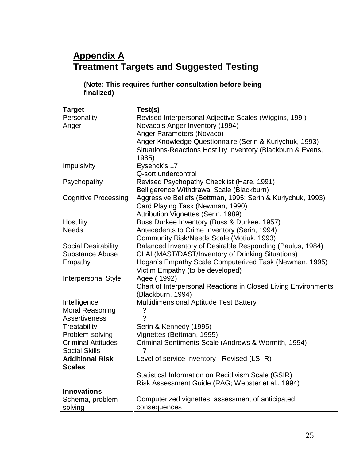# **Appendix A Treatment Targets and Suggested Testing**

### **(Note: This requires further consultation before being finalized)**

| <b>Target</b>               | Test(s)                                                        |
|-----------------------------|----------------------------------------------------------------|
| Personality                 | Revised Interpersonal Adjective Scales (Wiggins, 199)          |
| Anger                       | Novaco's Anger Inventory (1994)                                |
|                             | Anger Parameters (Novaco)                                      |
|                             | Anger Knowledge Questionnaire (Serin & Kuriychuk, 1993)        |
|                             | Situations-Reactions Hostility Inventory (Blackburn & Evens,   |
|                             |                                                                |
|                             | 1985)                                                          |
| Impulsivity                 | Eysenck's 17                                                   |
|                             | Q-sort undercontrol                                            |
| Psychopathy                 | Revised Psychopathy Checklist (Hare, 1991)                     |
|                             | Belligerence Withdrawal Scale (Blackburn)                      |
| <b>Cognitive Processing</b> | Aggressive Beliefs (Bettman, 1995; Serin & Kuriychuk, 1993)    |
|                             | Card Playing Task (Newman, 1990)                               |
|                             | Attribution Vignettes (Serin, 1989)                            |
| Hostility                   | Buss Durkee Inventory (Buss & Durkee, 1957)                    |
| <b>Needs</b>                | Antecedents to Crime Inventory (Serin, 1994)                   |
|                             | Community Risk/Needs Scale (Motiuk, 1993)                      |
| Social Desirability         | Balanced Inventory of Desirable Responding (Paulus, 1984)      |
| <b>Substance Abuse</b>      | CLAI (MAST/DAST/Inventory of Drinking Situations)              |
| Empathy                     | Hogan's Empathy Scale Computerized Task (Newman, 1995)         |
|                             | Victim Empathy (to be developed)                               |
| <b>Interpersonal Style</b>  | Agee (1992)                                                    |
|                             | Chart of Interpersonal Reactions in Closed Living Environments |
|                             | (Blackburn, 1994)                                              |
| Intelligence                | <b>Multidimensional Aptitude Test Battery</b>                  |
| <b>Moral Reasoning</b>      | ?                                                              |
| Assertiveness               | $\mathcal{P}$                                                  |
| Treatability                | Serin & Kennedy (1995)                                         |
| Problem-solving             | Vignettes (Bettman, 1995)                                      |
| <b>Criminal Attitudes</b>   | Criminal Sentiments Scale (Andrews & Wormith, 1994)            |
| <b>Social Skills</b>        | 2                                                              |
| <b>Additional Risk</b>      |                                                                |
|                             | Level of service Inventory - Revised (LSI-R)                   |
| <b>Scales</b>               |                                                                |
|                             | Statistical Information on Recidivism Scale (GSIR)             |
|                             | Risk Assessment Guide (RAG; Webster et al., 1994)              |
| <b>Innovations</b>          |                                                                |
| Schema, problem-            | Computerized vignettes, assessment of anticipated              |
| solving                     | consequences                                                   |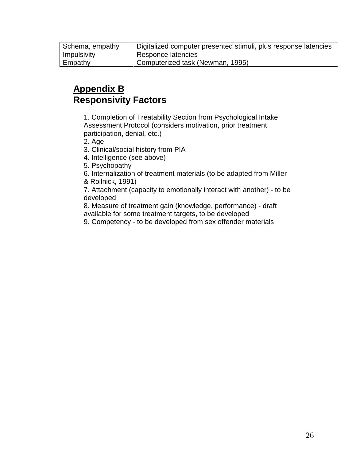Schema, empathy Digitalized computer presented stimuli, plus response latencies Impulsivity Responce latencies Empathy Computerized task (Newman, 1995)

# **Appendix B Responsivity Factors**

1. Completion of Treatability Section from Psychological Intake Assessment Protocol (considers motivation, prior treatment participation, denial, etc.)

2. Age

3. Clinical/social history from PIA

4. Intelligence (see above)

5. Psychopathy

6. Internalization of treatment materials (to be adapted from Miller & Rollnick, 1991)

7. Attachment (capacity to emotionally interact with another) - to be developed

8. Measure of treatment gain (knowledge, performance) - draft available for some treatment targets, to be developed

9. Competency - to be developed from sex offender materials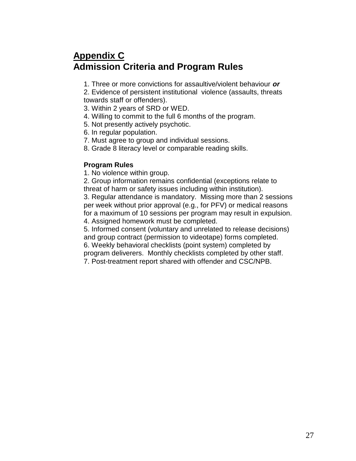# **Appendix C Admission Criteria and Program Rules**

1. Three or more convictions for assaultive/violent behaviour **or**

2. Evidence of persistent institutional violence (assaults, threats towards staff or offenders).

- 3. Within 2 years of SRD or WED.
- 4. Willing to commit to the full 6 months of the program.
- 5. Not presently actively psychotic.
- 6. In regular population.
- 7. Must agree to group and individual sessions.
- 8. Grade 8 literacy level or comparable reading skills.

#### **Program Rules**

1. No violence within group.

2. Group information remains confidential (exceptions relate to threat of harm or safety issues including within institution).

3. Regular attendance is mandatory. Missing more than 2 sessions per week without prior approval (e.g., for PFV) or medical reasons for a maximum of 10 sessions per program may result in expulsion. 4. Assigned homework must be completed.

5. Informed consent (voluntary and unrelated to release decisions) and group contract (permission to videotape) forms completed.

6. Weekly behavioral checklists (point system) completed by

program deliverers. Monthly checklists completed by other staff.

7. Post-treatment report shared with offender and CSC/NPB.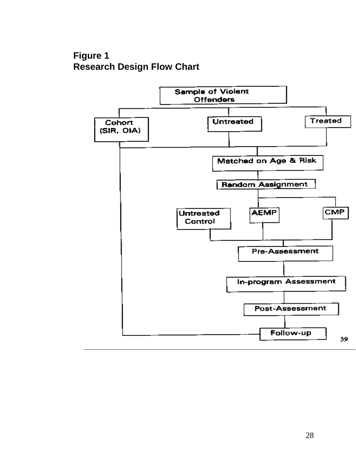# **Figure 1 Research Design Flow Chart**

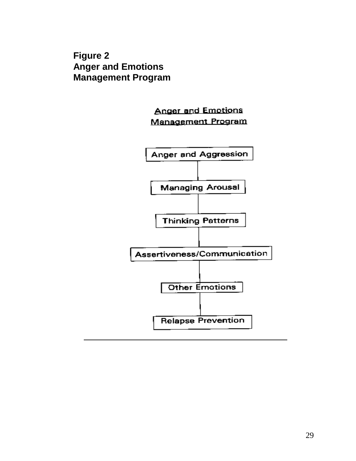**Figure 2 Anger and Emotions Management Program**

> **Anger and Emotions** Management Program

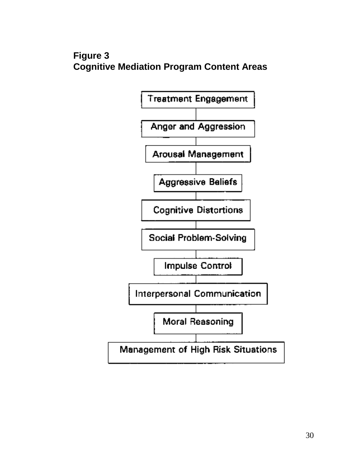# **Figure 3 Cognitive Mediation Program Content Areas**